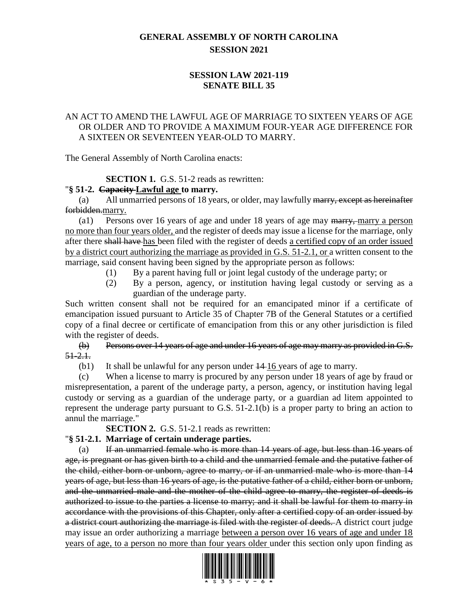# **GENERAL ASSEMBLY OF NORTH CAROLINA SESSION 2021**

## **SESSION LAW 2021-119 SENATE BILL 35**

## AN ACT TO AMEND THE LAWFUL AGE OF MARRIAGE TO SIXTEEN YEARS OF AGE OR OLDER AND TO PROVIDE A MAXIMUM FOUR-YEAR AGE DIFFERENCE FOR A SIXTEEN OR SEVENTEEN YEAR-OLD TO MARRY.

The General Assembly of North Carolina enacts:

## **SECTION 1.** G.S. 51-2 reads as rewritten:

### "**§ 51-2. Capacity Lawful age to marry.**

(a) All unmarried persons of 18 years, or older, may lawfully marry, except as hereinafter forbidden.marry.

(a1) Persons over 16 years of age and under 18 years of age may marry, marry a person no more than four years older, and the register of deeds may issue a license for the marriage, only after there shall have has been filed with the register of deeds a certified copy of an order issued by a district court authorizing the marriage as provided in G.S. 51-2.1, or a written consent to the marriage, said consent having been signed by the appropriate person as follows:

- (1) By a parent having full or joint legal custody of the underage party; or
- (2) By a person, agency, or institution having legal custody or serving as a guardian of the underage party.

Such written consent shall not be required for an emancipated minor if a certificate of emancipation issued pursuant to Article 35 of Chapter 7B of the General Statutes or a certified copy of a final decree or certificate of emancipation from this or any other jurisdiction is filed with the register of deeds.

(b) Persons over 14 years of age and under 16 years of age may marry as provided in G.S.  $51 - 2.1.$ 

(b1) It shall be unlawful for any person under  $\frac{14 \cdot 16}{2}$  years of age to marry.

(c) When a license to marry is procured by any person under 18 years of age by fraud or misrepresentation, a parent of the underage party, a person, agency, or institution having legal custody or serving as a guardian of the underage party, or a guardian ad litem appointed to represent the underage party pursuant to G.S. 51-2.1(b) is a proper party to bring an action to annul the marriage."

**SECTION 2.** G.S. 51-2.1 reads as rewritten:

## "**§ 51-2.1. Marriage of certain underage parties.**

(a) If an unmarried female who is more than 14 years of age, but less than 16 years of age, is pregnant or has given birth to a child and the unmarried female and the putative father of the child, either born or unborn, agree to marry, or if an unmarried male who is more than 14 years of age, but less than 16 years of age, is the putative father of a child, either born or unborn, and the unmarried male and the mother of the child agree to marry, the register of deeds is authorized to issue to the parties a license to marry; and it shall be lawful for them to marry in accordance with the provisions of this Chapter, only after a certified copy of an order issued by a district court authorizing the marriage is filed with the register of deeds. A district court judge may issue an order authorizing a marriage between a person over 16 years of age and under 18 years of age, to a person no more than four years older under this section only upon finding as

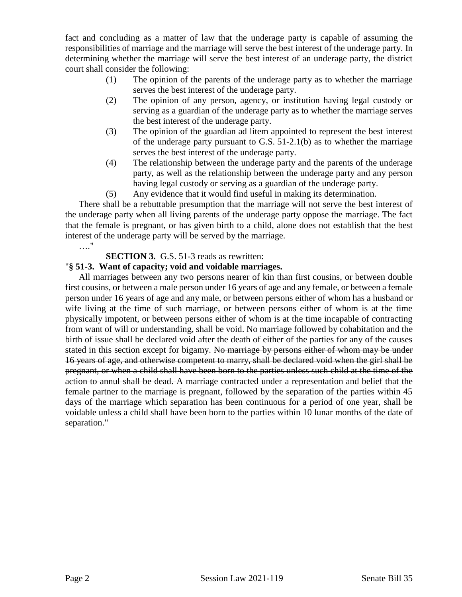fact and concluding as a matter of law that the underage party is capable of assuming the responsibilities of marriage and the marriage will serve the best interest of the underage party. In determining whether the marriage will serve the best interest of an underage party, the district court shall consider the following:

- (1) The opinion of the parents of the underage party as to whether the marriage serves the best interest of the underage party.
- (2) The opinion of any person, agency, or institution having legal custody or serving as a guardian of the underage party as to whether the marriage serves the best interest of the underage party.
- (3) The opinion of the guardian ad litem appointed to represent the best interest of the underage party pursuant to G.S. 51-2.1(b) as to whether the marriage serves the best interest of the underage party.
- (4) The relationship between the underage party and the parents of the underage party, as well as the relationship between the underage party and any person having legal custody or serving as a guardian of the underage party.
- (5) Any evidence that it would find useful in making its determination.

There shall be a rebuttable presumption that the marriage will not serve the best interest of the underage party when all living parents of the underage party oppose the marriage. The fact that the female is pregnant, or has given birth to a child, alone does not establish that the best interest of the underage party will be served by the marriage. …."

### **SECTION 3.** G.S. 51-3 reads as rewritten:

### "**§ 51-3. Want of capacity; void and voidable marriages.**

All marriages between any two persons nearer of kin than first cousins, or between double first cousins, or between a male person under 16 years of age and any female, or between a female person under 16 years of age and any male, or between persons either of whom has a husband or wife living at the time of such marriage, or between persons either of whom is at the time physically impotent, or between persons either of whom is at the time incapable of contracting from want of will or understanding, shall be void. No marriage followed by cohabitation and the birth of issue shall be declared void after the death of either of the parties for any of the causes stated in this section except for bigamy. No marriage by persons either of whom may be under 16 years of age, and otherwise competent to marry, shall be declared void when the girl shall be pregnant, or when a child shall have been born to the parties unless such child at the time of the action to annul shall be dead. A marriage contracted under a representation and belief that the female partner to the marriage is pregnant, followed by the separation of the parties within 45 days of the marriage which separation has been continuous for a period of one year, shall be voidable unless a child shall have been born to the parties within 10 lunar months of the date of separation."